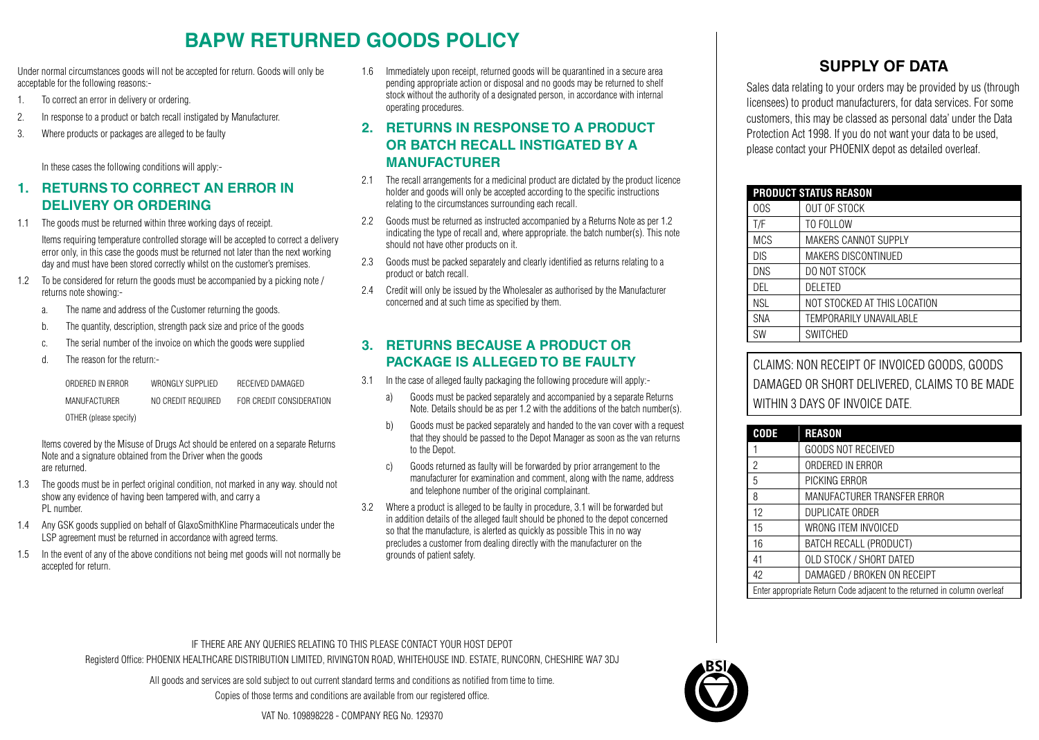## **BAPW RETURNED GOODS POLICY**

Under normal circumstances goods will not be accepted for return. Goods will only be acceptable for the following reasons:-

- 1. To correct an error in delivery or ordering.
- 2. In response to a product or batch recall instigated by Manufacturer.
- 3. Where products or packages are alleged to be faulty

In these cases the following conditions will apply:-

## **1. RETURNS TO CORRECT AN ERROR IN DELIVERY OR ORDERING**

1.1 The goods must be returned within three working days of receipt.

 Items requiring temperature controlled storage will be accepted to correct a delivery error only, in this case the goods must be returned not later than the next working day and must have been stored correctly whilst on the customer's premises.

- 1.2 To be considered for return the goods must be accompanied by a picking note / returns note showing:
	- a. The name and address of the Customer returning the goods.
	- b. The quantity, description, strength pack size and price of the goods
	- c. The serial number of the invoice on which the goods were supplied
	- d. The reason for the return:-

| ORDERED IN ERROR       | WRONGLY SUPPLIED   | RECEIVED DAMAGED         |
|------------------------|--------------------|--------------------------|
| <b>MANUFACTURER</b>    | NO CREDIT REQUIRED | FOR CREDIT CONSIDERATION |
| OTHER (please specify) |                    |                          |

 Items covered by the Misuse of Drugs Act should be entered on a separate Returns Note and a signature obtained from the Driver when the goods are returned.

- 1.3 The goods must be in perfect original condition, not marked in any way. should not show any evidence of having been tampered with, and carry a PL number
- 1.4 Any GSK goods supplied on behalf of GlaxoSmithKline Pharmaceuticals under the LSP agreement must be returned in accordance with agreed terms.
- 1.5 In the event of any of the above conditions not being met goods will not normally be accepted for return.

1.6 Immediately upon receipt, returned goods will be quarantined in a secure area pending appropriate action or disposal and no goods may be returned to shelf stock without the authority of a designated person, in accordance with internal operating procedures.

## **2. RETURNS IN RESPONSE TO A PRODUCT OR BATCH RECALL INSTIGATED BY A MANUFACTURER**

- 2.1 The recall arrangements for a medicinal product are dictated by the product licence holder and goods will only be accepted according to the specific instructions relating to the circumstances surrounding each recall.
- 2.2 Goods must be returned as instructed accompanied by a Returns Note as per 1.2 indicating the type of recall and, where appropriate. the batch number(s). This note should not have other products on it.
- 2.3 Goods must be packed separately and clearly identified as returns relating to a product or batch recall.
- 2.4 Credit will only be issued by the Wholesaler as authorised by the Manufacturer concerned and at such time as specified by them.

### **3. RETURNS BECAUSE A PRODUCT OR PACKAGE IS ALLEGED TO BE FAULTY**

- 3.1 In the case of alleged faulty packaging the following procedure will apply:
	- a) Goods must be packed separately and accompanied by a separate Returns Note. Details should be as per 1.2 with the additions of the batch number(s).
	- b) Goods must be packed separately and handed to the van cover with a request that they should be passed to the Depot Manager as soon as the van returns to the Depot.
	- c) Goods returned as faulty will be forwarded by prior arrangement to the manufacturer for examination and comment, along with the name, address and telephone number of the original complainant.
- 3.2 Where a product is alleged to be faulty in procedure, 3.1 will be forwarded but in addition details of the alleged fault should be phoned to the depot concerned so that the manufacture, is alerted as quickly as possible This in no way precludes a customer from dealing directly with the manufacturer on the grounds of patient safety.

## **SUPPLY OF DATA**

Sales data relating to your orders may be provided by us (through licensees) to product manufacturers, for data services. For some customers, this may be classed as personal data' under the Data Protection Act 1998. If you do not want your data to be used, please contact your PHOENIX depot as detailed overleaf.

| <b>PRODUCT STATUS REASON</b> |                              |  |
|------------------------------|------------------------------|--|
| 00S                          | <b>OUT OF STOCK</b>          |  |
| T/F                          | TO FOLLOW                    |  |
| <b>MCS</b>                   | <b>MAKERS CANNOT SUPPLY</b>  |  |
| <b>DIS</b>                   | MAKERS DISCONTINUED          |  |
| DNS                          | DO NOT STOCK                 |  |
| DFI                          | <b>DELETED</b>               |  |
| <b>NSL</b>                   | NOT STOCKED AT THIS LOCATION |  |
| <b>SNA</b>                   | TEMPORARILY UNAVAILABLE      |  |
| SW                           | <b>SWITCHED</b>              |  |

CLAIMS: NON RECEIPT OF INVOICED GOODS, GOODS DAMAGED OR SHORT DELIVERED, CLAIMS TO BE MADE WITHIN 3 DAYS OF INVOICE DATE.

| <b>CODE</b>                                                               | <b>REASON</b>               |
|---------------------------------------------------------------------------|-----------------------------|
|                                                                           | GOODS NOT RECEIVED          |
| 2                                                                         | ORDERED IN ERROR            |
| 5                                                                         | PICKING ERROR               |
| 8                                                                         | MANUFACTURER TRANSFER ERROR |
| 12                                                                        | <b>DUPLICATE ORDER</b>      |
| 15                                                                        | WRONG ITEM INVOICED         |
| 16                                                                        | BATCH RECALL (PRODUCT)      |
| 41                                                                        | OLD STOCK / SHORT DATED     |
| 42                                                                        | DAMAGED / BROKEN ON RECEIPT |
| Enter appropriate Return Code adjacent to the returned in column overleaf |                             |

IF THERE ARE ANY QUERIES RELATING TO THIS PLEASE CONTACT YOUR HOST DEPOT Registerd Office: PHOENIX HEALTHCARE DISTRIBUTION LIMITED, RIVINGTON ROAD, WHITEHOUSE IND. ESTATE, RUNCORN, CHESHIRE WA7 3DJ

All goods and services are sold subject to out current standard terms and conditions as notified from time to time.

Copies of those terms and conditions are available from our registered office.

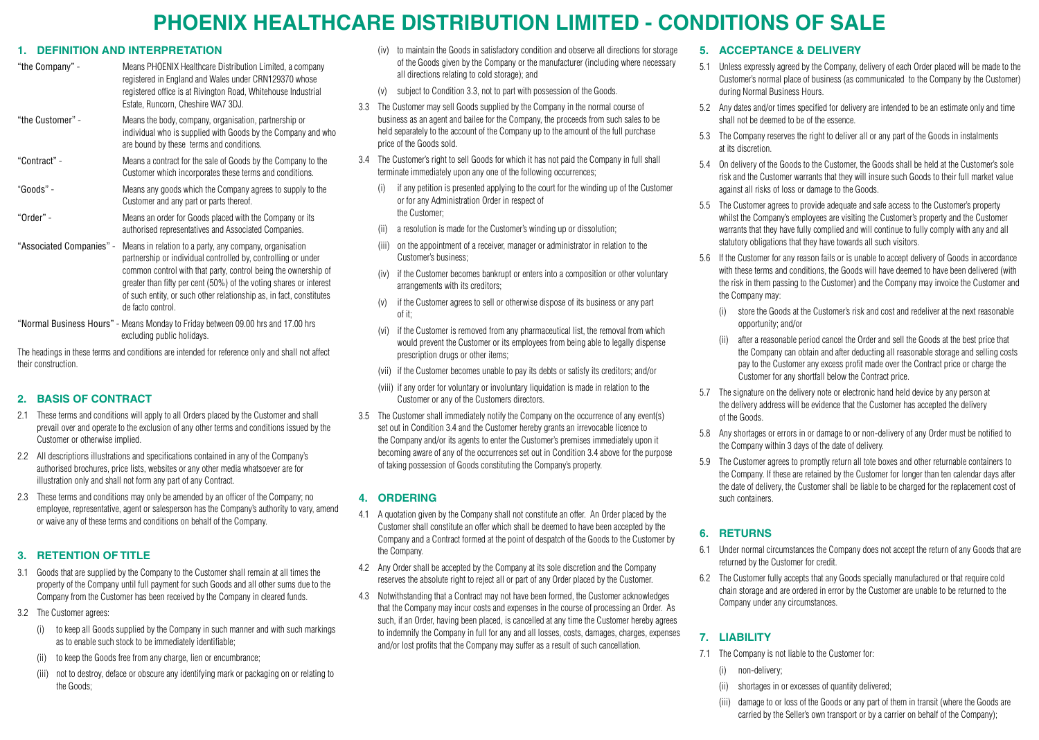# **PHOENIX Healthcare Distribution Limited - Conditions of Sale**

#### **1. Definition and Interpretation**

- "the Company" Means PHOENIX Healthcare Distribution Limited, a company registered in England and Wales under CRN129370 whose registered office is at Rivington Road, Whitehouse Industrial Estate, Runcorn, Cheshire WA7 3DJ. "the Customer" - Means the body, company, organisation, partnership or individual who is supplied with Goods by the Company and who are bound by these terms and conditions.
- "Contract" Means a contract for the sale of Goods by the Company to the Customer which incorporates these terms and conditions.
- "Goods" Means any goods which the Company agrees to supply to the Customer and any part or parts thereof.
- "Order" Means an order for Goods placed with the Company or its authorised representatives and Associated Companies.
- "Associated Companies" Means in relation to a party, any company, organisation partnership or individual controlled by, controlling or under common control with that party, control being the ownership of greater than fifty per cent (50%) of the voting shares or interest of such entity, or such other relationship as, in fact, constitutes de facto control.
- "Normal Business Hours" Means Monday to Friday between 09.00 hrs and 17.00 hrs excluding public holidays.

The headings in these terms and conditions are intended for reference only and shall not affect their construction.

#### **2. Basis of Contract**

- 2.1 These terms and conditions will apply to all Orders placed by the Customer and shall prevail over and operate to the exclusion of any other terms and conditions issued by the Customer or otherwise implied.
- 2.2 All descriptions illustrations and specifications contained in any of the Company's authorised brochures, price lists, websites or any other media whatsoever are for illustration only and shall not form any part of any Contract.
- 2.3 These terms and conditions may only be amended by an officer of the Company; no employee, representative, agent or salesperson has the Company's authority to vary, amend or waive any of these terms and conditions on behalf of the Company.

#### **3. Retention of Title**

- 3.1 Goods that are supplied by the Company to the Customer shall remain at all times the property of the Company until full payment for such Goods and all other sums due to the Company from the Customer has been received by the Company in cleared funds.
- 3.2 The Customer agrees:
	- (i) to keep all Goods supplied by the Company in such manner and with such markings as to enable such stock to be immediately identifiable;
	- (ii) to keep the Goods free from any charge, lien or encumbrance;
	- (iii) not to destroy, deface or obscure any identifying mark or packaging on or relating to the Goods;
- (iv) to maintain the Goods in satisfactory condition and observe all directions for storage of the Goods given by the Company or the manufacturer (including where necessary all directions relating to cold storage); and
- (v) subject to Condition 3.3, not to part with possession of the Goods.
- 3.3 The Customer may sell Goods supplied by the Company in the normal course of business as an agent and bailee for the Company, the proceeds from such sales to be held separately to the account of the Company up to the amount of the full purchase price of the Goods sold.
- 3.4 The Customer's right to sell Goods for which it has not paid the Company in full shall terminate immediately upon any one of the following occurrences;
	- (i) if any petition is presented applying to the court for the winding up of the Customer or for any Administration Order in respect of the Customer;
	- (ii) a resolution is made for the Customer's winding up or dissolution;
	- (iii) on the appointment of a receiver, manager or administrator in relation to the Customer's business;
	- (iv) if the Customer becomes bankrupt or enters into a composition or other voluntary arrangements with its creditors;
	- (v) if the Customer agrees to sell or otherwise dispose of its business or any part of it;
	- (vi) if the Customer is removed from any pharmaceutical list, the removal from which would prevent the Customer or its employees from being able to legally dispense prescription drugs or other items;
	- (vii) if the Customer becomes unable to pay its debts or satisfy its creditors; and/or
	- (viii) if any order for voluntary or involuntary liquidation is made in relation to the Customer or any of the Customers directors.
- 3.5 The Customer shall immediately notify the Company on the occurrence of any event(s) set out in Condition 3.4 and the Customer hereby grants an irrevocable licence to the Company and/or its agents to enter the Customer's premises immediately upon it becoming aware of any of the occurrences set out in Condition 3.4 above for the purpose of taking possession of Goods constituting the Company's property.

#### **4. Ordering**

- 4.1 A quotation given by the Company shall not constitute an offer. An Order placed by the Customer shall constitute an offer which shall be deemed to have been accepted by the Company and a Contract formed at the point of despatch of the Goods to the Customer by the Company.
- 4.2 Any Order shall be accepted by the Company at its sole discretion and the Company reserves the absolute right to reject all or part of any Order placed by the Customer.
- 4.3 Notwithstanding that a Contract may not have been formed, the Customer acknowledges that the Company may incur costs and expenses in the course of processing an Order. As such, if an Order, having been placed, is cancelled at any time the Customer hereby agrees to indemnify the Company in full for any and all losses, costs, damages, charges, expenses and/or lost profits that the Company may suffer as a result of such cancellation.

#### **5. Acceptance & Delivery**

- 5.1 Unless expressly agreed by the Company, delivery of each Order placed will be made to the Customer's normal place of business (as communicated to the Company by the Customer) during Normal Business Hours.
- 5.2 Any dates and/or times specified for delivery are intended to be an estimate only and time shall not be deemed to be of the essence.
- 5.3 The Company reserves the right to deliver all or any part of the Goods in instalments at its discretion.
- 5.4 On delivery of the Goods to the Customer, the Goods shall be held at the Customer's sole risk and the Customer warrants that they will insure such Goods to their full market value against all risks of loss or damage to the Goods.
- 5.5 The Customer agrees to provide adequate and safe access to the Customer's property whilst the Company's employees are visiting the Customer's property and the Customer warrants that they have fully complied and will continue to fully comply with any and all statutory obligations that they have towards all such visitors.
- 5.6 If the Customer for any reason fails or is unable to accept delivery of Goods in accordance with these terms and conditions, the Goods will have deemed to have been delivered (with the risk in them passing to the Customer) and the Company may invoice the Customer and the Company may:
	- (i) store the Goods at the Customer's risk and cost and redeliver at the next reasonable opportunity; and/or
	- (ii) after a reasonable period cancel the Order and sell the Goods at the best price that the Company can obtain and after deducting all reasonable storage and selling costs pay to the Customer any excess profit made over the Contract price or charge the Customer for any shortfall below the Contract price.
- 5.7 The signature on the delivery note or electronic hand held device by any person at the delivery address will be evidence that the Customer has accepted the delivery of the Goods.
- 5.8 Any shortages or errors in or damage to or non-delivery of any Order must be notified to the Company within 3 days of the date of delivery.
- 5.9 The Customer agrees to promptly return all tote boxes and other returnable containers to the Company. If these are retained by the Customer for longer than ten calendar days after the date of delivery, the Customer shall be liable to be charged for the replacement cost of such containers.

#### **6. Returns**

- 6.1 Under normal circumstances the Company does not accept the return of any Goods that are returned by the Customer for credit.
- 6.2 The Customer fully accepts that any Goods specially manufactured or that require cold chain storage and are ordered in error by the Customer are unable to be returned to the Company under any circumstances.

#### **7. Liability**

- 7.1 The Company is not liable to the Customer for:
	- (i) non-delivery;
	- (ii) shortages in or excesses of quantity delivered;
	- (iii) damage to or loss of the Goods or any part of them in transit (where the Goods are carried by the Seller's own transport or by a carrier on behalf of the Company);